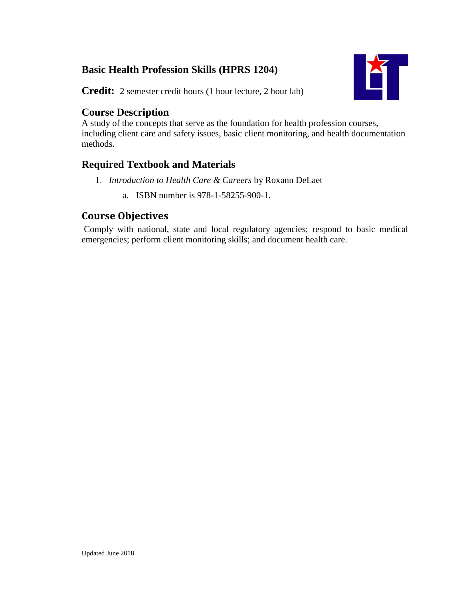# **Basic Health Profession Skills (HPRS 1204)**



**Credit:** 2 semester credit hours (1 hour lecture, 2 hour lab)

### **Course Description**

A study of the concepts that serve as the foundation for health profession courses, including client care and safety issues, basic client monitoring, and health documentation methods.

## **Required Textbook and Materials**

- 1. *Introduction to Health Care & Careers* by Roxann DeLaet
	- a. ISBN number is 978-1-58255-900-1.

# **Course Objectives**

Comply with national, state and local regulatory agencies; respond to basic medical emergencies; perform client monitoring skills; and document health care.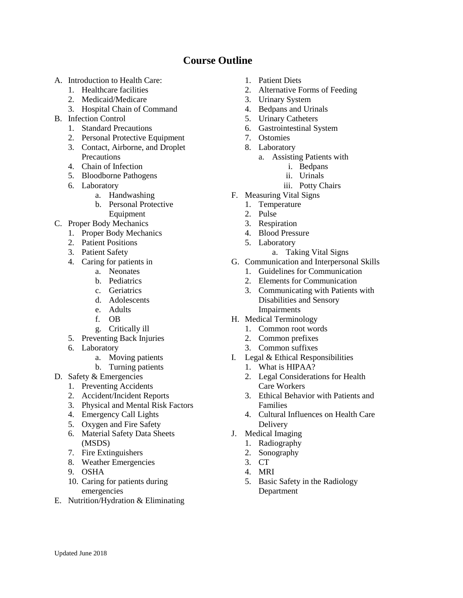## **Course Outline**

- A. Introduction to Health Care:
	- 1. Healthcare facilities
	- 2. Medicaid/Medicare
	- 3. Hospital Chain of Command
- B. Infection Control
	- 1. Standard Precautions
	- 2. Personal Protective Equipment
	- 3. Contact, Airborne, and Droplet **Precautions**
	- 4. Chain of Infection
	- 5. Bloodborne Pathogens
	- 6. Laboratory
		- a. Handwashing
			- b. Personal Protective Equipment
- C. Proper Body Mechanics
	- 1. Proper Body Mechanics
		- 2. Patient Positions
		- 3. Patient Safety
		- 4. Caring for patients in
			- a. Neonates
			- b. Pediatrics
			- c. Geriatrics
			- d. Adolescents
			- e. Adults
			- f. OB
			- g. Critically ill
	- 5. Preventing Back Injuries
	- 6. Laboratory
		- a. Moving patients
		- b. Turning patients
- D. Safety & Emergencies
	- 1. Preventing Accidents
	- 2. Accident/Incident Reports
	- 3. Physical and Mental Risk Factors
	- 4. Emergency Call Lights
	- 5. Oxygen and Fire Safety
	- 6. Material Safety Data Sheets (MSDS)
	- 7. Fire Extinguishers
	- 8. Weather Emergencies
	- 9. OSHA
	- 10. Caring for patients during emergencies
- E. Nutrition/Hydration & Eliminating
- 1. Patient Diets
- 2. Alternative Forms of Feeding
- 3. Urinary System
- 4. Bedpans and Urinals
- 5. Urinary Catheters
- 6. Gastrointestinal System
- 7. Ostomies
- 8. Laboratory
	- a. Assisting Patients with
		- i. Bedpans
		- ii. Urinals
		- iii. Potty Chairs
- F. Measuring Vital Signs
	- 1. Temperature
	- 2. Pulse
	- 3. Respiration
	- 4. Blood Pressure
	- 5. Laboratory
		- a. Taking Vital Signs
- G. Communication and Interpersonal Skills
	- 1. Guidelines for Communication
	- 2. Elements for Communication
	- 3. Communicating with Patients with Disabilities and Sensory Impairments
- H. Medical Terminology
	- 1. Common root words
	- 2. Common prefixes
	- 3. Common suffixes
- I. Legal & Ethical Responsibilities
	- 1. What is HIPAA?
	- 2. Legal Considerations for Health Care Workers
	- 3. Ethical Behavior with Patients and Families
	- 4. Cultural Influences on Health Care Delivery
- J. Medical Imaging
	- 1. Radiography
	- 2. Sonography
	- 3. CT
	- 4. MRI
	- 5. Basic Safety in the Radiology Department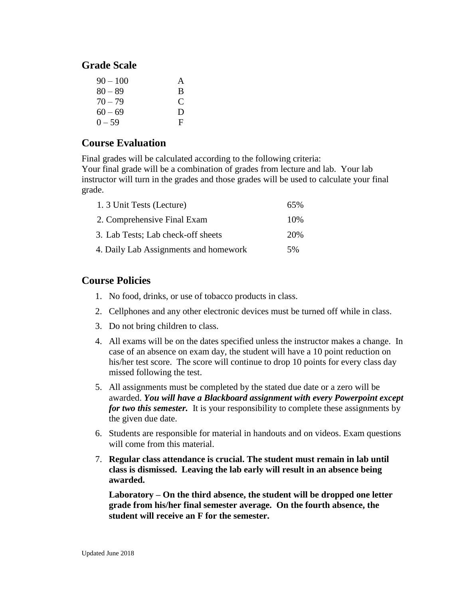### **Grade Scale**

| $90 - 100$ | A |
|------------|---|
| $80 - 89$  | B |
| $70 - 79$  | C |
| $60 - 69$  | D |
| $0 - 59$   | F |

### **Course Evaluation**

Final grades will be calculated according to the following criteria:

Your final grade will be a combination of grades from lecture and lab. Your lab instructor will turn in the grades and those grades will be used to calculate your final grade.

| 1. 3 Unit Tests (Lecture)             | 65%  |
|---------------------------------------|------|
| 2. Comprehensive Final Exam           | 10\% |
| 3. Lab Tests; Lab check-off sheets    | 20%  |
| 4. Daily Lab Assignments and homework | 5%   |

#### **Course Policies**

- 1. No food, drinks, or use of tobacco products in class.
- 2. Cellphones and any other electronic devices must be turned off while in class.
- 3. Do not bring children to class.
- 4. All exams will be on the dates specified unless the instructor makes a change. In case of an absence on exam day, the student will have a 10 point reduction on his/her test score. The score will continue to drop 10 points for every class day missed following the test.
- 5. All assignments must be completed by the stated due date or a zero will be awarded. *You will have a Blackboard assignment with every Powerpoint except for two this semester.* It is your responsibility to complete these assignments by the given due date.
- 6. Students are responsible for material in handouts and on videos. Exam questions will come from this material.
- 7. **Regular class attendance is crucial. The student must remain in lab until class is dismissed. Leaving the lab early will result in an absence being awarded.**

**Laboratory – On the third absence, the student will be dropped one letter grade from his/her final semester average. On the fourth absence, the student will receive an F for the semester.**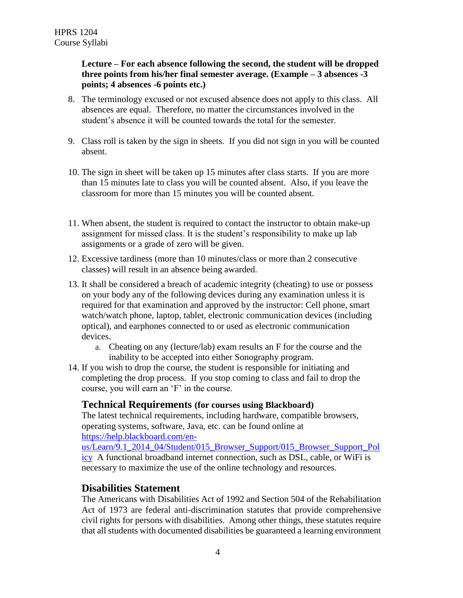#### **Lecture – For each absence following the second, the student will be dropped three points from his/her final semester average. (Example – 3 absences -3 points; 4 absences -6 points etc.)**

- 8. The terminology excused or not excused absence does not apply to this class. All absences are equal. Therefore, no matter the circumstances involved in the student's absence it will be counted towards the total for the semester.
- 9. Class roll is taken by the sign in sheets. If you did not sign in you will be counted absent.
- 10. The sign in sheet will be taken up 15 minutes after class starts. If you are more than 15 minutes late to class you will be counted absent. Also, if you leave the classroom for more than 15 minutes you will be counted absent.
- 11. When absent, the student is required to contact the instructor to obtain make-up assignment for missed class. It is the student's responsibility to make up lab assignments or a grade of zero will be given.
- 12. Excessive tardiness (more than 10 minutes/class or more than 2 consecutive classes) will result in an absence being awarded.
- 13. It shall be considered a breach of academic integrity (cheating) to use or possess on your body any of the following devices during any examination unless it is required for that examination and approved by the instructor: Cell phone, smart watch/watch phone, laptop, tablet, electronic communication devices (including optical), and earphones connected to or used as electronic communication devices.
	- a. Cheating on any (lecture/lab) exam results an F for the course and the inability to be accepted into either Sonography program.
- 14. If you wish to drop the course, the student is responsible for initiating and completing the drop process. If you stop coming to class and fail to drop the course, you will earn an 'F' in the course.

#### **Technical Requirements (for courses using Blackboard)**

The latest technical requirements, including hardware, compatible browsers, operating systems, software, Java, etc. can be found online at [https://help.blackboard.com/en-](https://help.blackboard.com/en-us/Learn/9.1_2014_04/Student/015_Browser_Support/015_Browser_Support_Policy)

[us/Learn/9.1\\_2014\\_04/Student/015\\_Browser\\_Support/015\\_Browser\\_Support\\_Pol](https://help.blackboard.com/en-us/Learn/9.1_2014_04/Student/015_Browser_Support/015_Browser_Support_Policy) [icy](https://help.blackboard.com/en-us/Learn/9.1_2014_04/Student/015_Browser_Support/015_Browser_Support_Policy) A functional broadband internet connection, such as DSL, cable, or WiFi is necessary to maximize the use of the online technology and resources.

#### **Disabilities Statement**

The Americans with Disabilities Act of 1992 and Section 504 of the Rehabilitation Act of 1973 are federal anti-discrimination statutes that provide comprehensive civil rights for persons with disabilities. Among other things, these statutes require that all students with documented disabilities be guaranteed a learning environment